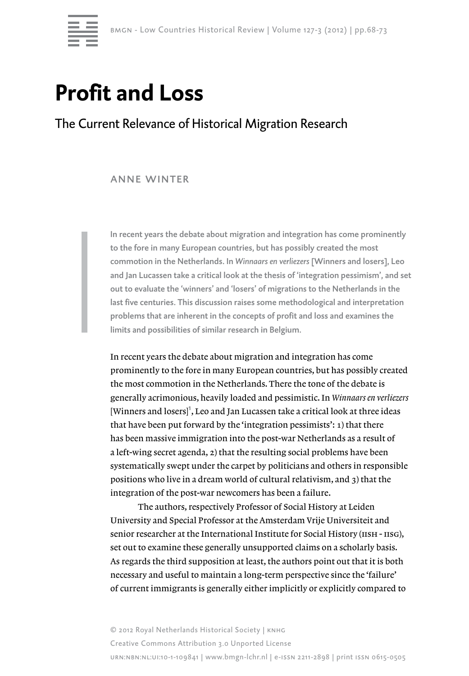

# **Profit and Loss**

## The Current Relevance of Historical Migration Research

### anne winter

In recent years the debate about migration and integration has come prominently to the fore in many European countries, but has possibly created the most commotion in the Netherlands. In *Winnaars en verliezers* [Winners and losers], Leo and Jan Lucassen take a critical look at the thesis of 'integration pessimism', and set out to evaluate the 'winners' and 'losers' of migrations to the Netherlands in the last five centuries. This discussion raises some methodological and interpretation problems that are inherent in the concepts of profit and loss and examines the limits and possibilities of similar research in Belgium.

In recent years the debate about migration and integration has come prominently to the fore in many European countries, but has possibly created the most commotion in the Netherlands. There the tone of the debate is generally acrimonious, heavily loaded and pessimistic. In *Winnaars en verliezers*  $[Winners and loses]<sup>1</sup>$ , Leo and Jan Lucassen take a critical look at three ideas that have been put forward by the 'integration pessimists': 1) that there has been massive immigration into the post-war Netherlands as a result of a left-wing secret agenda, 2) that the resulting social problems have been systematically swept under the carpet by politicians and others in responsible positions who live in a dream world of cultural relativism, and 3) that the integration of the post-war newcomers has been a failure.

The authors, respectively Professor of Social History at Leiden University and Special Professor at the Amsterdam Vrije Universiteit and senior researcher at the International Institute for Social History (IISH - IISG), set out to examine these generally unsupported claims on a scholarly basis. As regards the third supposition at least, the authors point out that it is both necessary and useful to maintain a long-term perspective since the 'failure' of current immigrants is generally either implicitly or explicitly compared to

© 2012 Royal Netherlands Historical Society | knhg Creative Commons Attribution 3.0 Unported License urn:nbn:nl:ui:10-1-109841 | www.bmgn-lchr.nl | e-issn 2211-2898 | print issn 0615-0505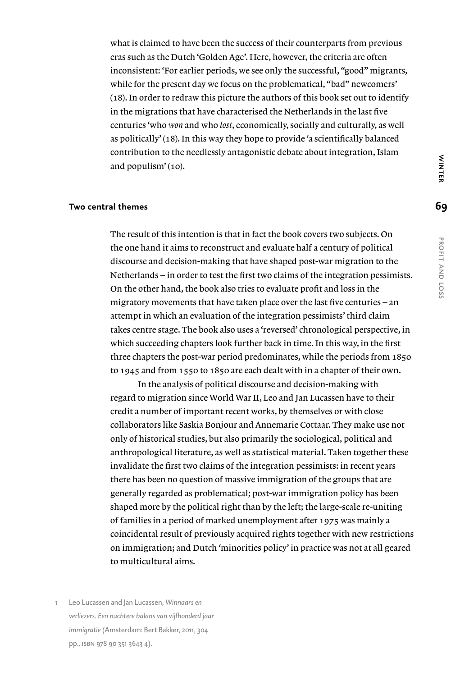what is claimed to have been the success of their counterparts from previous eras such as the Dutch 'Golden Age'. Here, however, the criteria are often inconsistent: 'For earlier periods, we see only the successful, "good" migrants, while for the present day we focus on the problematical, "bad" newcomers' (18). In order to redraw this picture the authors of this book set out to identify in the migrations that have characterised the Netherlands in the last five centuries 'who *won* and who *lost*, economically, socially and culturally, as well as politically' (18). In this way they hope to provide 'a scientifically balanced contribution to the needlessly antagonistic debate about integration, Islam and populism' (10).

### **Two central themes**

The result of this intention is that in fact the book covers two subjects. On the one hand it aims to reconstruct and evaluate half a century of political discourse and decision-making that have shaped post-war migration to the Netherlands – in order to test the first two claims of the integration pessimists. On the other hand, the book also tries to evaluate profit and loss in the migratory movements that have taken place over the last five centuries – an attempt in which an evaluation of the integration pessimists' third claim takes centre stage. The book also uses a 'reversed' chronological perspective, in which succeeding chapters look further back in time. In this way, in the first three chapters the post-war period predominates, while the periods from 1850 to 1945 and from 1550 to 1850 are each dealt with in a chapter of their own.

In the analysis of political discourse and decision-making with regard to migration since World War II, Leo and Jan Lucassen have to their credit a number of important recent works, by themselves or with close collaborators like Saskia Bonjour and Annemarie Cottaar. They make use not only of historical studies, but also primarily the sociological, political and anthropological literature, as well as statistical material. Taken together these invalidate the first two claims of the integration pessimists: in recent years there has been no question of massive immigration of the groups that are generally regarded as problematical; post-war immigration policy has been shaped more by the political right than by the left; the large-scale re-uniting of families in a period of marked unemployment after 1975 was mainly a coincidental result of previously acquired rights together with new restrictions on immigration; and Dutch 'minorities policy' in practice was not at all geared to multicultural aims.

1 Leo Lucassen and Jan Lucassen, *Winnaars en verliezers. Een nuchtere balans van vijfhonderd jaar immigratie* (Amsterdam: Bert Bakker, 2011, 304 pp., isbn 978 90 351 3643 4).

# **WINTER WINTER W. J. JACTIF AND LOSS**

**69**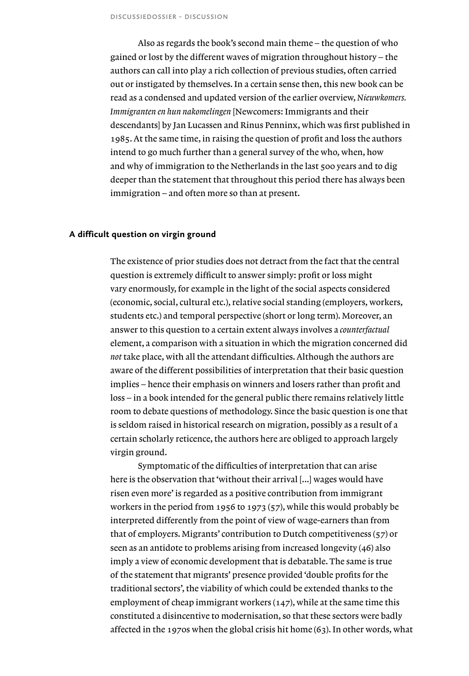Also as regards the book's second main theme – the question of who gained or lost by the different waves of migration throughout history – the authors can call into play a rich collection of previous studies, often carried out or instigated by themselves. In a certain sense then, this new book can be read as a condensed and updated version of the earlier overview, *Nieuwkomers. Immigranten en hun nakomelingen* [Newcomers: Immigrants and their descendants] by Jan Lucassen and Rinus Penninx, which was first published in 1985. At the same time, in raising the question of profit and loss the authors intend to go much further than a general survey of the who, when, how and why of immigration to the Netherlands in the last 500 years and to dig deeper than the statement that throughout this period there has always been immigration – and often more so than at present.

### **A difficult question on virgin ground**

The existence of prior studies does not detract from the fact that the central question is extremely difficult to answer simply: profit or loss might vary enormously, for example in the light of the social aspects considered (economic, social, cultural etc.), relative social standing (employers, workers, students etc.) and temporal perspective (short or long term). Moreover, an answer to this question to a certain extent always involves a *counterfactual* element, a comparison with a situation in which the migration concerned did *not* take place, with all the attendant difficulties. Although the authors are aware of the different possibilities of interpretation that their basic question implies – hence their emphasis on winners and losers rather than profit and loss – in a book intended for the general public there remains relatively little room to debate questions of methodology. Since the basic question is one that is seldom raised in historical research on migration, possibly as a result of a certain scholarly reticence, the authors here are obliged to approach largely virgin ground.

Symptomatic of the difficulties of interpretation that can arise here is the observation that 'without their arrival [...] wages would have risen even more' is regarded as a positive contribution from immigrant workers in the period from 1956 to 1973 (57), while this would probably be interpreted differently from the point of view of wage-earners than from that of employers. Migrants' contribution to Dutch competitiveness (57) or seen as an antidote to problems arising from increased longevity (46) also imply a view of economic development that is debatable. The same is true of the statement that migrants' presence provided 'double profits for the traditional sectors', the viability of which could be extended thanks to the employment of cheap immigrant workers (147), while at the same time this constituted a disincentive to modernisation, so that these sectors were badly affected in the 1970s when the global crisis hit home (63). In other words, what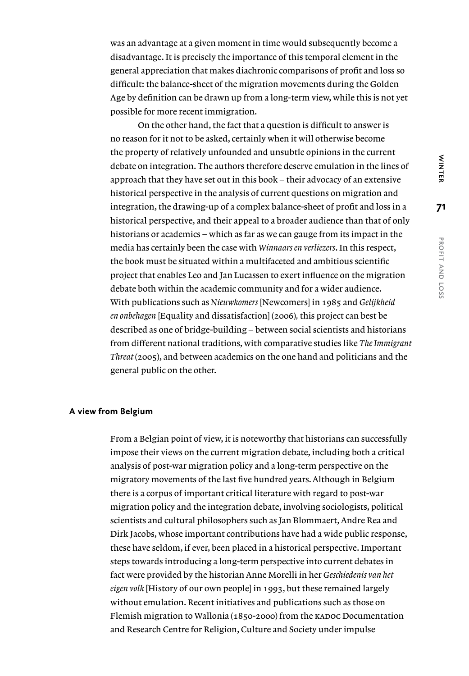was an advantage at a given moment in time would subsequently become a disadvantage. It is precisely the importance of this temporal element in the general appreciation that makes diachronic comparisons of profit and loss so difficult: the balance-sheet of the migration movements during the Golden Age by definition can be drawn up from a long-term view, while this is not yet possible for more recent immigration.

On the other hand, the fact that a question is difficult to answer is no reason for it not to be asked, certainly when it will otherwise become the property of relatively unfounded and unsubtle opinions in the current debate on integration. The authors therefore deserve emulation in the lines of approach that they have set out in this book – their advocacy of an extensive historical perspective in the analysis of current questions on migration and integration, the drawing-up of a complex balance-sheet of profit and loss in a historical perspective, and their appeal to a broader audience than that of only historians or academics – which as far as we can gauge from its impact in the media has certainly been the case with *Winnaars en verliezers*. In this respect, the book must be situated within a multifaceted and ambitious scientific project that enables Leo and Jan Lucassen to exert influence on the migration debate both within the academic community and for a wider audience. With publications such as *Nieuwkomers* [Newcomers] in 1985 and *Gelijkheid en onbehagen* [Equality and dissatisfaction] (2006)*,* this project can best be described as one of bridge-building – between social scientists and historians from different national traditions, with comparative studies like *The Immigrant Threat* (2005), and between academics on the one hand and politicians and the general public on the other.

### **A view from Belgium**

From a Belgian point of view, it is noteworthy that historians can successfully impose their views on the current migration debate, including both a critical analysis of post-war migration policy and a long-term perspective on the migratory movements of the last five hundred years. Although in Belgium there is a corpus of important critical literature with regard to post-war migration policy and the integration debate, involving sociologists, political scientists and cultural philosophers such as Jan Blommaert, Andre Rea and Dirk Jacobs, whose important contributions have had a wide public response, these have seldom, if ever, been placed in a historical perspective. Important steps towards introducing a long-term perspective into current debates in fact were provided by the historian Anne Morelli in her *Geschiedenis van het eigen volk* [History of our own people] in 1993, but these remained largely without emulation. Recent initiatives and publications such as those on Flemish migration to Wallonia (1850-2000) from the KADOC Documentation and Research Centre for Religion, Culture and Society under impulse

**71**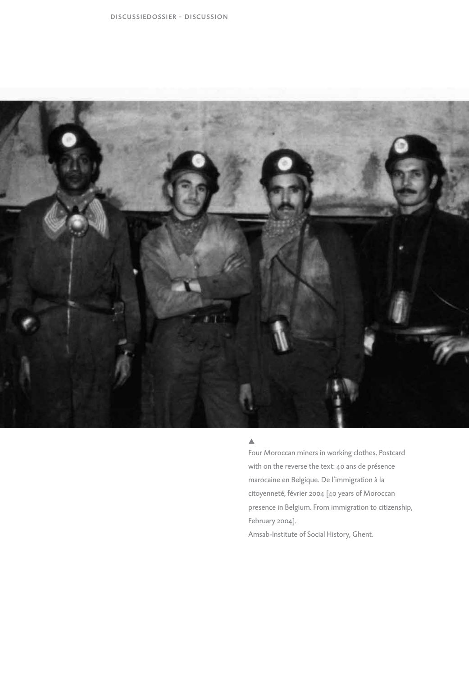

### $\blacktriangle$

Four Moroccan miners in working clothes. Postcard with on the reverse the text: 40 ans de présence marocaine en Belgique. De l'immigration à la citoyenneté, février 2004 [40 years of Moroccan presence in Belgium. From immigration to citizenship, February 2004]. Amsab-Institute of Social History, Ghent.